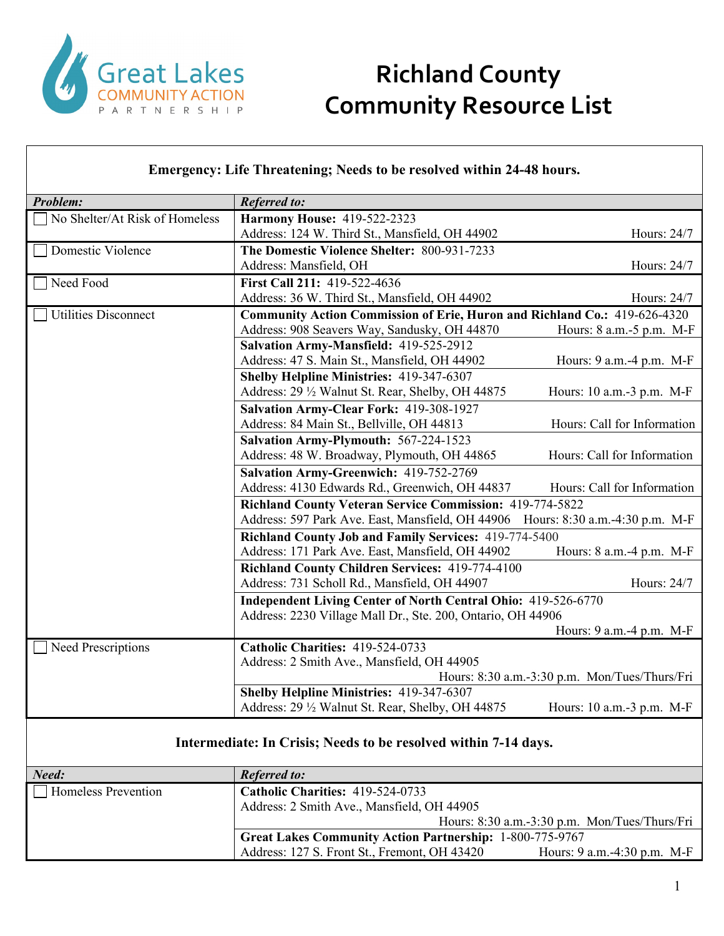

#### **Emergency: Life Threatening; Needs to be resolved within 24-48 hours.**

| Problem:                       | <b>Referred to:</b>                                                              |                                               |
|--------------------------------|----------------------------------------------------------------------------------|-----------------------------------------------|
| No Shelter/At Risk of Homeless | <b>Harmony House: 419-522-2323</b>                                               |                                               |
|                                | Address: 124 W. Third St., Mansfield, OH 44902                                   | Hours: 24/7                                   |
| Domestic Violence              | The Domestic Violence Shelter: 800-931-7233                                      |                                               |
|                                | Address: Mansfield, OH                                                           | Hours: 24/7                                   |
| Need Food                      | First Call 211: 419-522-4636                                                     |                                               |
|                                | Address: 36 W. Third St., Mansfield, OH 44902                                    | Hours: 24/7                                   |
| <b>Utilities Disconnect</b>    | <b>Community Action Commission of Erie, Huron and Richland Co.: 419-626-4320</b> |                                               |
|                                | Address: 908 Seavers Way, Sandusky, OH 44870                                     | Hours: 8 a.m.-5 p.m. M-F                      |
|                                | Salvation Army-Mansfield: 419-525-2912                                           |                                               |
|                                | Address: 47 S. Main St., Mansfield, OH 44902                                     | Hours: 9 a.m.-4 p.m. M-F                      |
|                                | <b>Shelby Helpline Ministries: 419-347-6307</b>                                  |                                               |
|                                | Address: 29 1/2 Walnut St. Rear, Shelby, OH 44875                                | Hours: 10 a.m.-3 p.m. M-F                     |
|                                | Salvation Army-Clear Fork: 419-308-1927                                          |                                               |
|                                | Address: 84 Main St., Bellville, OH 44813                                        | Hours: Call for Information                   |
|                                | Salvation Army-Plymouth: 567-224-1523                                            |                                               |
|                                | Address: 48 W. Broadway, Plymouth, OH 44865                                      | Hours: Call for Information                   |
|                                | Salvation Army-Greenwich: 419-752-2769                                           |                                               |
|                                | Address: 4130 Edwards Rd., Greenwich, OH 44837                                   | Hours: Call for Information                   |
|                                | <b>Richland County Veteran Service Commission: 419-774-5822</b>                  |                                               |
|                                | Address: 597 Park Ave. East, Mansfield, OH 44906                                 | Hours: 8:30 a.m.-4:30 p.m. M-F                |
|                                | Richland County Job and Family Services: 419-774-5400                            |                                               |
|                                | Address: 171 Park Ave. East, Mansfield, OH 44902                                 | Hours: 8 a.m.-4 p.m. M-F                      |
|                                | Richland County Children Services: 419-774-4100                                  |                                               |
|                                | Address: 731 Scholl Rd., Mansfield, OH 44907                                     | Hours: 24/7                                   |
|                                | <b>Independent Living Center of North Central Ohio: 419-526-6770</b>             |                                               |
|                                | Address: 2230 Village Mall Dr., Ste. 200, Ontario, OH 44906                      |                                               |
|                                |                                                                                  | Hours: 9 a.m.-4 p.m. M-F                      |
| Need Prescriptions             | Catholic Charities: 419-524-0733                                                 |                                               |
|                                | Address: 2 Smith Ave., Mansfield, OH 44905                                       |                                               |
|                                |                                                                                  | Hours: 8:30 a.m.-3:30 p.m. Mon/Tues/Thurs/Fri |
|                                | <b>Shelby Helpline Ministries: 419-347-6307</b>                                  |                                               |
|                                | Address: 29 1/2 Walnut St. Rear, Shelby, OH 44875                                | Hours: 10 a.m.-3 p.m. M-F                     |
|                                |                                                                                  |                                               |
|                                | Intermediate: In Crisis; Needs to be resolved within 7-14 days.                  |                                               |
|                                |                                                                                  |                                               |
| Need:                          | <b>Referred to:</b>                                                              |                                               |
| Homeless Prevention            | Catholic Charities: 419-524-0733                                                 |                                               |
|                                |                                                                                  |                                               |

| Address: 2 Smith Ave., Mansfield, OH 44905                      |                                               |
|-----------------------------------------------------------------|-----------------------------------------------|
|                                                                 | Hours: 8:30 a.m.-3:30 p.m. Mon/Tues/Thurs/Fri |
| <b>Great Lakes Community Action Partnership: 1-800-775-9767</b> |                                               |
| Address: 127 S. Front St., Fremont, OH 43420                    | Hours: $9$ a.m. $-4:30$ p.m. M-F              |
|                                                                 |                                               |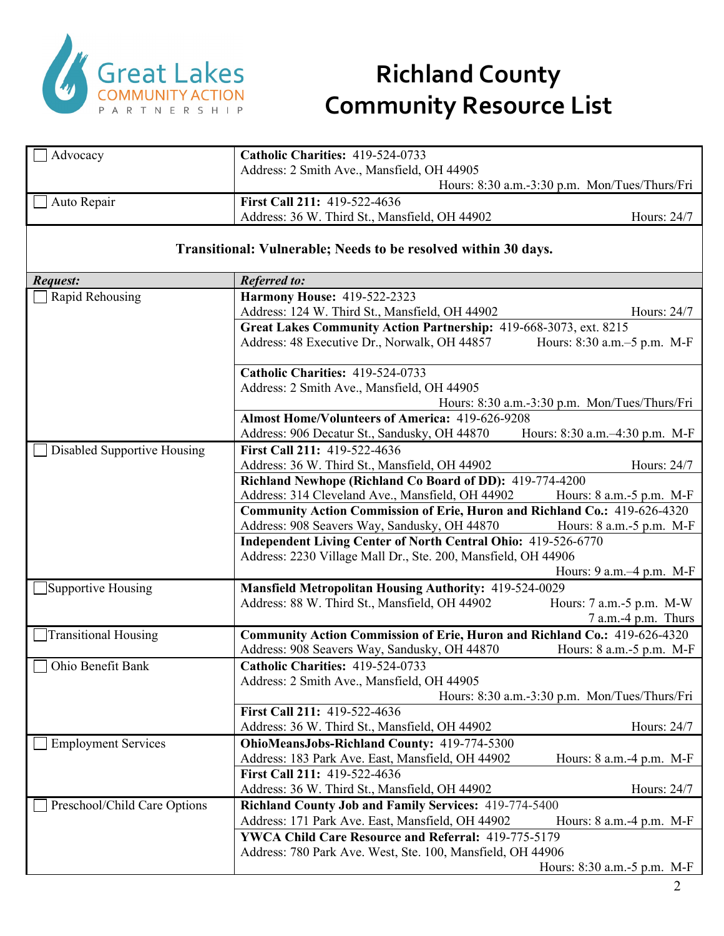

| Advocacy                     | Catholic Charities: 419-524-0733                                                                              |                                               |
|------------------------------|---------------------------------------------------------------------------------------------------------------|-----------------------------------------------|
|                              | Address: 2 Smith Ave., Mansfield, OH 44905                                                                    |                                               |
|                              |                                                                                                               | Hours: 8:30 a.m.-3:30 p.m. Mon/Tues/Thurs/Fri |
| Auto Repair                  | First Call 211: 419-522-4636                                                                                  |                                               |
|                              | Address: 36 W. Third St., Mansfield, OH 44902                                                                 | Hours: 24/7                                   |
|                              | Transitional: Vulnerable; Needs to be resolved within 30 days.                                                |                                               |
| <b>Request:</b>              | <b>Referred to:</b>                                                                                           |                                               |
| Rapid Rehousing              | <b>Harmony House: 419-522-2323</b>                                                                            |                                               |
|                              | Address: 124 W. Third St., Mansfield, OH 44902                                                                | Hours: 24/7                                   |
|                              | Great Lakes Community Action Partnership: 419-668-3073, ext. 8215                                             |                                               |
|                              | Address: 48 Executive Dr., Norwalk, OH 44857                                                                  | Hours: 8:30 a.m.–5 p.m. M-F                   |
|                              | Catholic Charities: 419-524-0733                                                                              |                                               |
|                              | Address: 2 Smith Ave., Mansfield, OH 44905                                                                    |                                               |
|                              |                                                                                                               | Hours: 8:30 a.m.-3:30 p.m. Mon/Tues/Thurs/Fri |
|                              | <b>Almost Home/Volunteers of America: 419-626-9208</b>                                                        |                                               |
|                              | Address: 906 Decatur St., Sandusky, OH 44870                                                                  | Hours: 8:30 a.m.-4:30 p.m. M-F                |
| Disabled Supportive Housing  | First Call 211: 419-522-4636                                                                                  |                                               |
|                              | Address: 36 W. Third St., Mansfield, OH 44902                                                                 | Hours: 24/7                                   |
|                              | Richland Newhope (Richland Co Board of DD): 419-774-4200                                                      |                                               |
|                              | Address: 314 Cleveland Ave., Mansfield, OH 44902                                                              | Hours: $8$ a.m. $-5$ p.m. M-F                 |
|                              | Community Action Commission of Erie, Huron and Richland Co.: 419-626-4320                                     |                                               |
|                              | Address: 908 Seavers Way, Sandusky, OH 44870<br>Independent Living Center of North Central Ohio: 419-526-6770 | Hours: 8 a.m.-5 p.m. M-F                      |
|                              | Address: 2230 Village Mall Dr., Ste. 200, Mansfield, OH 44906                                                 |                                               |
|                              |                                                                                                               | Hours: 9 a.m. -4 p.m. M-F                     |
| Supportive Housing           | <b>Mansfield Metropolitan Housing Authority: 419-524-0029</b>                                                 |                                               |
|                              | Address: 88 W. Third St., Mansfield, OH 44902                                                                 | Hours: 7 a.m.-5 p.m. M-W                      |
|                              |                                                                                                               | 7 a.m.-4 p.m. Thurs                           |
| <b>Transitional Housing</b>  | Community Action Commission of Erie, Huron and Richland Co.: 419-626-4320                                     |                                               |
|                              | Address: 908 Seavers Way, Sandusky, OH 44870                                                                  | Hours: 8 a.m.-5 p.m. M-F                      |
| Ohio Benefit Bank            | Catholic Charities: 419-524-0733                                                                              |                                               |
|                              | Address: 2 Smith Ave., Mansfield, OH 44905                                                                    |                                               |
|                              |                                                                                                               | Hours: 8:30 a.m.-3:30 p.m. Mon/Tues/Thurs/Fri |
|                              | First Call 211: 419-522-4636                                                                                  |                                               |
|                              | Address: 36 W. Third St., Mansfield, OH 44902                                                                 | Hours: 24/7                                   |
| <b>Employment Services</b>   | OhioMeansJobs-Richland County: 419-774-5300                                                                   |                                               |
|                              | Address: 183 Park Ave. East, Mansfield, OH 44902                                                              | Hours: $8$ a.m. $-4$ p.m. M-F                 |
|                              | First Call 211: 419-522-4636                                                                                  |                                               |
|                              | Address: 36 W. Third St., Mansfield, OH 44902                                                                 | Hours: 24/7                                   |
| Preschool/Child Care Options | Richland County Job and Family Services: 419-774-5400                                                         |                                               |
|                              | Address: 171 Park Ave. East, Mansfield, OH 44902                                                              | Hours: 8 a.m. -4 p.m. M-F                     |
|                              | <b>YWCA Child Care Resource and Referral: 419-775-5179</b>                                                    |                                               |
|                              | Address: 780 Park Ave. West, Ste. 100, Mansfield, OH 44906                                                    |                                               |
|                              |                                                                                                               | Hours: 8:30 a.m.-5 p.m. M-F                   |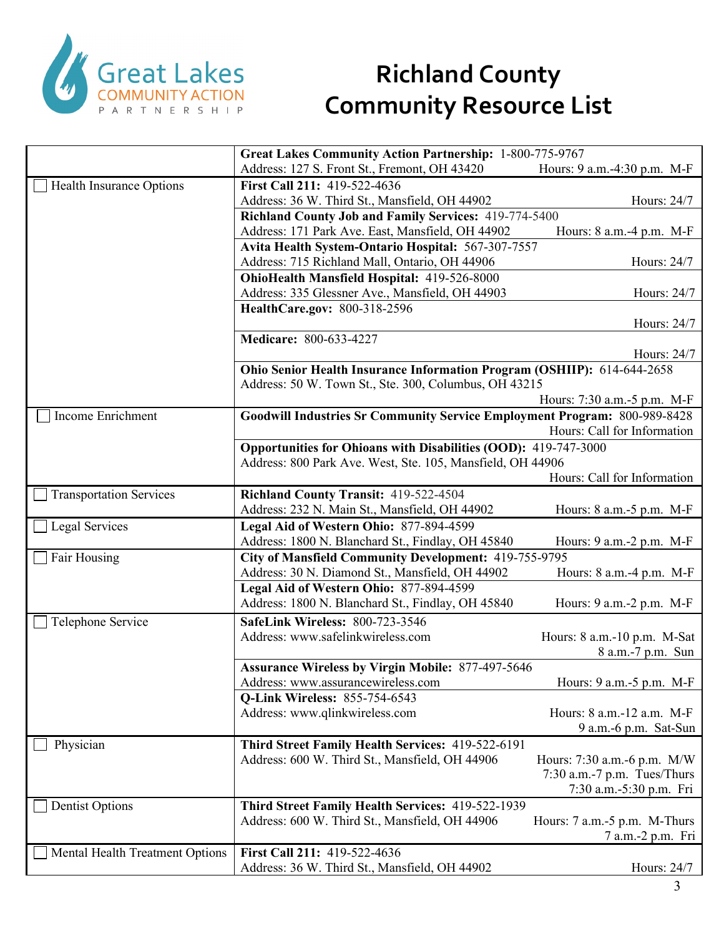

|                                 | Great Lakes Community Action Partnership: 1-800-775-9767                  |                               |
|---------------------------------|---------------------------------------------------------------------------|-------------------------------|
|                                 | Address: 127 S. Front St., Fremont, OH 43420                              | Hours: 9 a.m.-4:30 p.m. M-F   |
| Health Insurance Options        | First Call 211: 419-522-4636                                              |                               |
|                                 | Address: 36 W. Third St., Mansfield, OH 44902                             | Hours: 24/7                   |
|                                 | <b>Richland County Job and Family Services: 419-774-5400</b>              |                               |
|                                 | Address: 171 Park Ave. East, Mansfield, OH 44902                          | Hours: $8$ a.m. $-4$ p.m. M-F |
|                                 | Avita Health System-Ontario Hospital: 567-307-7557                        |                               |
|                                 | Address: 715 Richland Mall, Ontario, OH 44906                             | Hours: 24/7                   |
|                                 | OhioHealth Mansfield Hospital: 419-526-8000                               |                               |
|                                 | Address: 335 Glessner Ave., Mansfield, OH 44903                           | Hours: 24/7                   |
|                                 | HealthCare.gov: 800-318-2596                                              |                               |
|                                 |                                                                           | Hours: 24/7                   |
|                                 | Medicare: 800-633-4227                                                    |                               |
|                                 |                                                                           | Hours: 24/7                   |
|                                 | Ohio Senior Health Insurance Information Program (OSHIIP): 614-644-2658   |                               |
|                                 | Address: 50 W. Town St., Ste. 300, Columbus, OH 43215                     |                               |
|                                 |                                                                           | Hours: 7:30 a.m.-5 p.m. M-F   |
| Income Enrichment               | Goodwill Industries Sr Community Service Employment Program: 800-989-8428 |                               |
|                                 |                                                                           | Hours: Call for Information   |
|                                 | Opportunities for Ohioans with Disabilities (OOD): 419-747-3000           |                               |
|                                 | Address: 800 Park Ave. West, Ste. 105, Mansfield, OH 44906                |                               |
|                                 |                                                                           | Hours: Call for Information   |
| <b>Transportation Services</b>  | Richland County Transit: 419-522-4504                                     |                               |
|                                 |                                                                           | Hours: 8 a.m.-5 p.m. M-F      |
|                                 | Address: 232 N. Main St., Mansfield, OH 44902                             |                               |
| Legal Services                  | Legal Aid of Western Ohio: 877-894-4599                                   |                               |
|                                 | Address: 1800 N. Blanchard St., Findlay, OH 45840                         | Hours: 9 a.m.-2 p.m. M-F      |
| Fair Housing                    | City of Mansfield Community Development: 419-755-9795                     |                               |
|                                 | Address: 30 N. Diamond St., Mansfield, OH 44902                           | Hours: 8 a.m. -4 p.m. M-F     |
|                                 | Legal Aid of Western Ohio: 877-894-4599                                   |                               |
|                                 | Address: 1800 N. Blanchard St., Findlay, OH 45840                         | Hours: 9 a.m.-2 p.m. M-F      |
| Telephone Service               | <b>SafeLink Wireless: 800-723-3546</b>                                    |                               |
|                                 | Address: www.safelinkwireless.com                                         | Hours: 8 a.m.-10 p.m. M-Sat   |
|                                 |                                                                           | 8 a.m.-7 p.m. Sun             |
|                                 | <b>Assurance Wireless by Virgin Mobile: 877-497-5646</b>                  |                               |
|                                 | Address: www.assurancewireless.com                                        | Hours: 9 a.m. - 5 p.m. M-F    |
|                                 | <b>Q-Link Wireless: 855-754-6543</b>                                      |                               |
|                                 | Address: www.qlinkwireless.com                                            | Hours: 8 a.m.-12 a.m. M-F     |
|                                 |                                                                           | 9 a.m.-6 p.m. Sat-Sun         |
| Physician                       | Third Street Family Health Services: 419-522-6191                         |                               |
|                                 | Address: 600 W. Third St., Mansfield, OH 44906                            | Hours: 7:30 a.m.-6 p.m. M/W   |
|                                 |                                                                           | 7:30 a.m.-7 p.m. Tues/Thurs   |
|                                 |                                                                           | 7:30 a.m.-5:30 p.m. Fri       |
| <b>Dentist Options</b>          | Third Street Family Health Services: 419-522-1939                         |                               |
|                                 | Address: 600 W. Third St., Mansfield, OH 44906                            | Hours: 7 a.m.-5 p.m. M-Thurs  |
|                                 |                                                                           | 7 a.m.-2 p.m. Fri             |
| Mental Health Treatment Options | First Call 211: 419-522-4636                                              |                               |
|                                 | Address: 36 W. Third St., Mansfield, OH 44902                             | Hours: 24/7                   |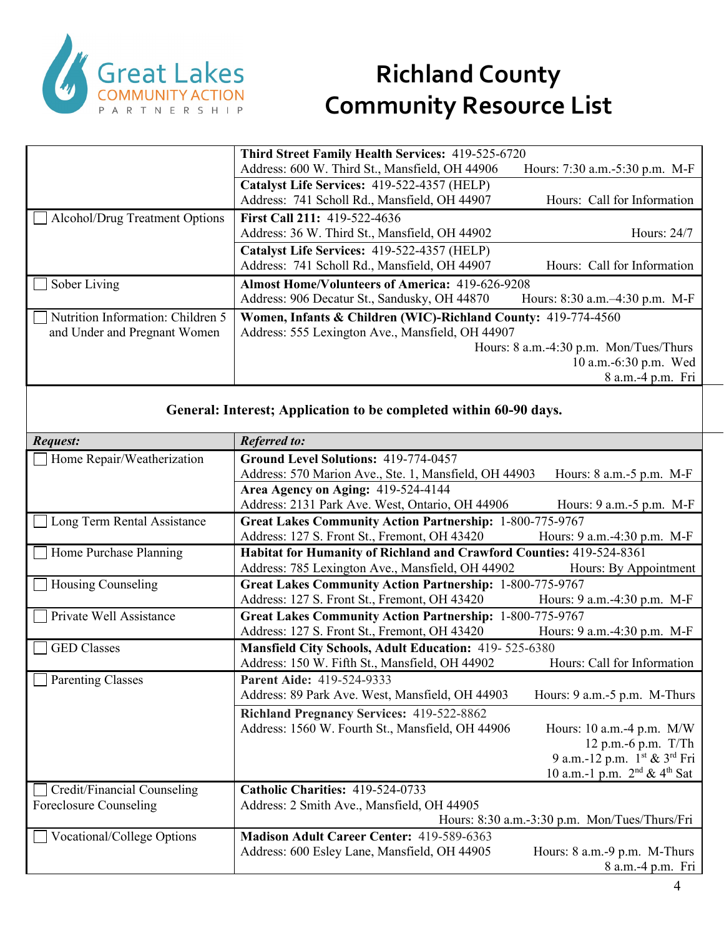

|                                   | <b>Third Street Family Health Services: 419-525-6720</b>      |                                        |
|-----------------------------------|---------------------------------------------------------------|----------------------------------------|
|                                   | Address: 600 W. Third St., Mansfield, OH 44906                | Hours: 7:30 a.m.-5:30 p.m. M-F         |
|                                   | Catalyst Life Services: 419-522-4357 (HELP)                   |                                        |
|                                   | Address: 741 Scholl Rd., Mansfield, OH 44907                  | Hours: Call for Information            |
| Alcohol/Drug Treatment Options    | <b>First Call 211: 419-522-4636</b>                           |                                        |
|                                   | Address: 36 W. Third St., Mansfield, OH 44902                 | Hours: 24/7                            |
|                                   | Catalyst Life Services: 419-522-4357 (HELP)                   |                                        |
|                                   | Address: 741 Scholl Rd., Mansfield, OH 44907                  | Hours: Call for Information            |
| Sober Living                      | <b>Almost Home/Volunteers of America: 419-626-9208</b>        |                                        |
|                                   | Address: 906 Decatur St., Sandusky, OH 44870                  | Hours: $8:30$ a.m. $-4:30$ p.m. M-F    |
| Nutrition Information: Children 5 | Women, Infants & Children (WIC)-Richland County: 419-774-4560 |                                        |
| and Under and Pregnant Women      | Address: 555 Lexington Ave., Mansfield, OH 44907              |                                        |
|                                   |                                                               | Hours: 8 a.m.-4:30 p.m. Mon/Tues/Thurs |
|                                   |                                                               | 10 a.m.-6:30 p.m. Wed                  |
|                                   |                                                               | 8 a.m.-4 p.m. Fri                      |

#### **General: Interest; Application to be completed within 60-90 days.**

| Request:                    | <b>Referred to:</b>                                                  |                                               |
|-----------------------------|----------------------------------------------------------------------|-----------------------------------------------|
| Home Repair/Weatherization  | Ground Level Solutions: 419-774-0457                                 |                                               |
|                             | Address: 570 Marion Ave., Ste. 1, Mansfield, OH 44903                | Hours: 8 a.m. - 5 p.m. M-F                    |
|                             | Area Agency on Aging: 419-524-4144                                   |                                               |
|                             | Address: 2131 Park Ave. West, Ontario, OH 44906                      | Hours: 9 a.m.-5 p.m. M-F                      |
| Long Term Rental Assistance | <b>Great Lakes Community Action Partnership: 1-800-775-9767</b>      |                                               |
|                             | Address: 127 S. Front St., Fremont, OH 43420                         | Hours: 9 a.m.-4:30 p.m. M-F                   |
| Home Purchase Planning      | Habitat for Humanity of Richland and Crawford Counties: 419-524-8361 |                                               |
|                             | Address: 785 Lexington Ave., Mansfield, OH 44902                     | Hours: By Appointment                         |
| Housing Counseling          | <b>Great Lakes Community Action Partnership: 1-800-775-9767</b>      |                                               |
|                             | Address: 127 S. Front St., Fremont, OH 43420                         | Hours: 9 a.m.-4:30 p.m. M-F                   |
| Private Well Assistance     | <b>Great Lakes Community Action Partnership: 1-800-775-9767</b>      |                                               |
|                             | Address: 127 S. Front St., Fremont, OH 43420                         | Hours: 9 a.m.-4:30 p.m. M-F                   |
| <b>GED</b> Classes          | Mansfield City Schools, Adult Education: 419-525-6380                |                                               |
|                             | Address: 150 W. Fifth St., Mansfield, OH 44902                       | Hours: Call for Information                   |
| <b>Parenting Classes</b>    | Parent Aide: 419-524-9333                                            |                                               |
|                             | Address: 89 Park Ave. West, Mansfield, OH 44903                      | Hours: 9 a.m.-5 p.m. M-Thurs                  |
|                             | <b>Richland Pregnancy Services: 419-522-8862</b>                     |                                               |
|                             | Address: 1560 W. Fourth St., Mansfield, OH 44906                     | Hours: $10$ a.m. $-4$ p.m. $M/W$              |
|                             |                                                                      | 12 p.m.-6 p.m. T/Th                           |
|                             |                                                                      | 9 a.m.-12 p.m. 1st & 3rd Fri                  |
|                             |                                                                      | 10 a.m.-1 p.m. $2^{nd}$ & 4 <sup>th</sup> Sat |
| Credit/Financial Counseling | Catholic Charities: 419-524-0733                                     |                                               |
| Foreclosure Counseling      | Address: 2 Smith Ave., Mansfield, OH 44905                           |                                               |
|                             |                                                                      | Hours: 8:30 a.m.-3:30 p.m. Mon/Tues/Thurs/Fri |
| Vocational/College Options  | <b>Madison Adult Career Center: 419-589-6363</b>                     |                                               |
|                             | Address: 600 Esley Lane, Mansfield, OH 44905                         | Hours: 8 a.m.-9 p.m. M-Thurs                  |
|                             |                                                                      | 8 a.m.-4 p.m. Fri                             |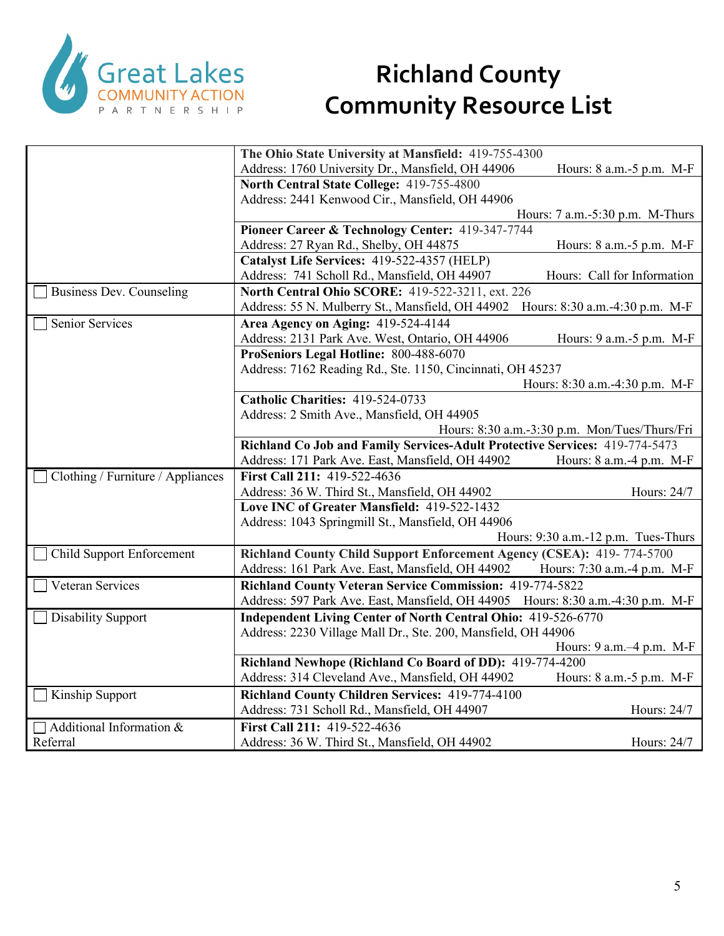

|                                             | The Ohio State University at Mansfield: 419-755-4300                                         |                                               |
|---------------------------------------------|----------------------------------------------------------------------------------------------|-----------------------------------------------|
|                                             | Address: 1760 University Dr., Mansfield, OH 44906                                            | Hours: 8 a.m. -5 p.m. M-F                     |
|                                             | North Central State College: 419-755-4800                                                    |                                               |
|                                             | Address: 2441 Kenwood Cir., Mansfield, OH 44906                                              |                                               |
|                                             |                                                                                              | Hours: 7 a.m.-5:30 p.m. M-Thurs               |
|                                             | Pioneer Career & Technology Center: 419-347-7744                                             |                                               |
|                                             | Address: 27 Ryan Rd., Shelby, OH 44875                                                       | Hours: 8 a.m. -5 p.m. M-F                     |
|                                             | Catalyst Life Services: 419-522-4357 (HELP)                                                  |                                               |
|                                             | Address: 741 Scholl Rd., Mansfield, OH 44907                                                 | Hours: Call for Information                   |
| <b>Business Dev. Counseling</b>             | North Central Ohio SCORE: 419-522-3211, ext. 226                                             |                                               |
|                                             | Address: 55 N. Mulberry St., Mansfield, OH 44902                                             | Hours: 8:30 a.m.-4:30 p.m. M-F                |
| <b>Senior Services</b>                      | Area Agency on Aging: 419-524-4144                                                           |                                               |
|                                             | Address: 2131 Park Ave. West, Ontario, OH 44906                                              | Hours: 9 a.m.-5 p.m. M-F                      |
|                                             | ProSeniors Legal Hotline: 800-488-6070                                                       |                                               |
|                                             | Address: 7162 Reading Rd., Ste. 1150, Cincinnati, OH 45237                                   |                                               |
|                                             |                                                                                              | Hours: 8:30 a.m.-4:30 p.m. M-F                |
|                                             | Catholic Charities: 419-524-0733                                                             |                                               |
|                                             | Address: 2 Smith Ave., Mansfield, OH 44905                                                   |                                               |
|                                             |                                                                                              | Hours: 8:30 a.m.-3:30 p.m. Mon/Tues/Thurs/Fri |
|                                             | Richland Co Job and Family Services-Adult Protective Services: 419-774-5473                  |                                               |
|                                             | Address: 171 Park Ave. East, Mansfield, OH 44902                                             | Hours: 8 a.m.-4 p.m. M-F                      |
|                                             |                                                                                              |                                               |
|                                             | First Call 211: 419-522-4636                                                                 |                                               |
| Clothing / Furniture / Appliances           |                                                                                              | Hours: 24/7                                   |
|                                             | Address: 36 W. Third St., Mansfield, OH 44902<br>Love INC of Greater Mansfield: 419-522-1432 |                                               |
|                                             |                                                                                              |                                               |
|                                             | Address: 1043 Springmill St., Mansfield, OH 44906                                            | Hours: 9:30 a.m.-12 p.m. Tues-Thurs           |
|                                             |                                                                                              |                                               |
| Child Support Enforcement                   | Richland County Child Support Enforcement Agency (CSEA): 419-774-5700                        | Hours: 7:30 a.m.-4 p.m. M-F                   |
|                                             | Address: 161 Park Ave. East, Mansfield, OH 44902                                             |                                               |
| Veteran Services                            | <b>Richland County Veteran Service Commission: 419-774-5822</b>                              |                                               |
|                                             | Address: 597 Park Ave. East, Mansfield, OH 44905 Hours: 8:30 a.m.-4:30 p.m. M-F              |                                               |
| <b>Disability Support</b>                   | <b>Independent Living Center of North Central Ohio: 419-526-6770</b>                         |                                               |
|                                             | Address: 2230 Village Mall Dr., Ste. 200, Mansfield, OH 44906                                |                                               |
|                                             |                                                                                              | Hours: 9 a.m. -4 p.m. M-F                     |
|                                             | Richland Newhope (Richland Co Board of DD): 419-774-4200                                     |                                               |
|                                             | Address: 314 Cleveland Ave., Mansfield, OH 44902                                             | Hours: 8 a.m.-5 p.m. M-F                      |
| Kinship Support                             | Richland County Children Services: 419-774-4100                                              |                                               |
|                                             | Address: 731 Scholl Rd., Mansfield, OH 44907                                                 | Hours: 24/7                                   |
| $\Box$ Additional Information &<br>Referral | First Call 211: 419-522-4636<br>Address: 36 W. Third St., Mansfield, OH 44902                | Hours: 24/7                                   |